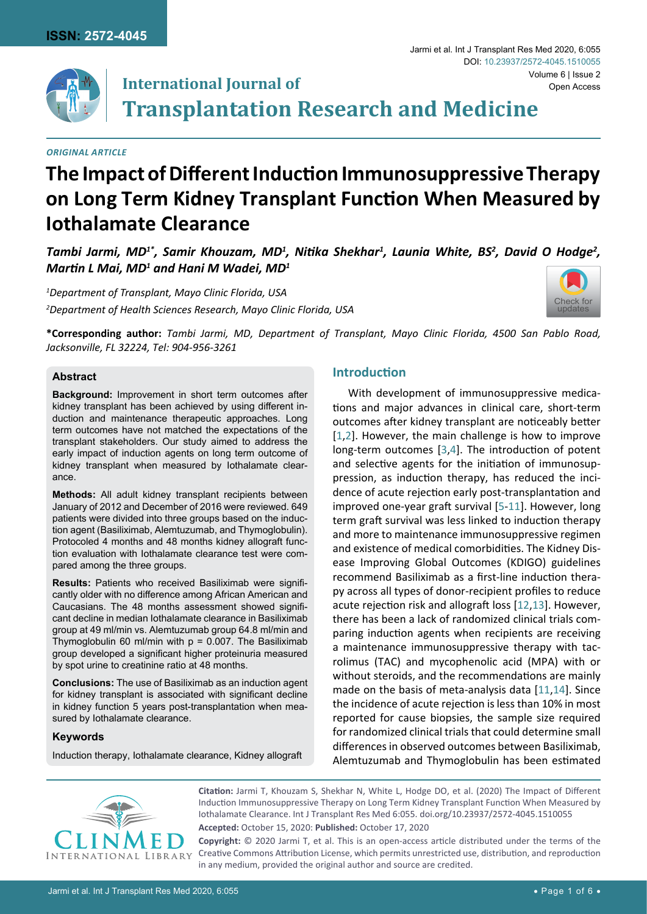

# **International Journal of Transplantation Research and Medicine** Volume 6 | Issue 2

#### *Original Article*

# **The Impact of Different Induction Immunosuppressive Therapy on Long Term Kidney Transplant Function When Measured by Iothalamate Clearance**

Tambi Jarmi, MD<sup>1\*</sup>, Samir Khouzam, MD<sup>1</sup>, Nitika Shekhar<sup>1</sup>, Launia White, BS<sup>2</sup>, David O Hodge<sup>2</sup>, *Martin L Mai, MD<sup>1</sup> and Hani M Wadei, MD<sup>1</sup>*

*1 Department of Transplant, Mayo Clinic Florida, USA 2 Department of Health Sciences Research, Mayo Clinic Florida, USA*



Open Access

Jarmi et al. Int J Transplant Res Med 2020, 6:055

DOI: [10.23937/2572-4045.1510055](https://doi.org/10.23937/2572-4045.1510055)

**\*Corresponding author:** *Tambi Jarmi, MD, Department of Transplant, Mayo Clinic Florida, 4500 San Pablo Road, Jacksonville, FL 32224, Tel: 904-956-3261*

# **Abstract**

**Background:** Improvement in short term outcomes after kidney transplant has been achieved by using different induction and maintenance therapeutic approaches. Long term outcomes have not matched the expectations of the transplant stakeholders. Our study aimed to address the early impact of induction agents on long term outcome of kidney transplant when measured by Iothalamate clearance.

**Methods:** All adult kidney transplant recipients between January of 2012 and December of 2016 were reviewed. 649 patients were divided into three groups based on the induction agent (Basiliximab, Alemtuzumab, and Thymoglobulin). Protocoled 4 months and 48 months kidney allograft function evaluation with Iothalamate clearance test were compared among the three groups.

**Results:** Patients who received Basiliximab were significantly older with no difference among African American and Caucasians. The 48 months assessment showed significant decline in median Iothalamate clearance in Basiliximab group at 49 ml/min vs. Alemtuzumab group 64.8 ml/min and Thymoglobulin 60 ml/min with  $p = 0.007$ . The Basiliximab group developed a significant higher proteinuria measured by spot urine to creatinine ratio at 48 months.

**Conclusions:** The use of Basiliximab as an induction agent for kidney transplant is associated with significant decline in kidney function 5 years post-transplantation when measured by Iothalamate clearance.

#### **Keywords**

Induction therapy, Iothalamate clearance, Kidney allograft

### **Introduction**

With development of immunosuppressive medications and major advances in clinical care, short-term outcomes after kidney transplant are noticeably better [[1](#page-4-0),[2](#page-4-1)]. However, the main challenge is how to improve long-term outcomes [[3,](#page-4-2)[4\]](#page-4-3). The introduction of potent and selective agents for the initiation of immunosuppression, as induction therapy, has reduced the incidence of acute rejection early post-transplantation and improved one-year graft survival [[5](#page-4-4)-[11](#page-5-0)]. However, long term graft survival was less linked to induction therapy and more to maintenance immunosuppressive regimen and existence of medical comorbidities. The Kidney Disease Improving Global Outcomes (KDIGO) guidelines recommend Basiliximab as a first-line induction therapy across all types of donor-recipient profiles to reduce acute rejection risk and allograft loss [[12](#page-5-1)[,13](#page-5-2)]. However, there has been a lack of randomized clinical trials comparing induction agents when recipients are receiving a maintenance immunosuppressive therapy with tacrolimus (TAC) and mycophenolic acid (MPA) with or without steroids, and the recommendations are mainly made on the basis of meta-analysis data [[11](#page-5-0),[14](#page-5-3)]. Since the incidence of acute rejection is less than 10% in most reported for cause biopsies, the sample size required for randomized clinical trials that could determine small differences in observed outcomes between Basiliximab, Alemtuzumab and Thymoglobulin has been estimated



**Citation:** Jarmi T, Khouzam S, Shekhar N, White L, Hodge DO, et al. (2020) The Impact of Different Induction Immunosuppressive Therapy on Long Term Kidney Transplant Function When Measured by Iothalamate Clearance. Int J Transplant Res Med 6:055. [doi.org/10.23937/2572-4045.1510055](https://doi.org/10.23937/2572-4045.1510055)

**Accepted:** October 15, 2020: **Published:** October 17, 2020

**Copyright:** © 2020 Jarmi T, et al. This is an open-access article distributed under the terms of the Creative Commons Attribution License, which permits unrestricted use, distribution, and reproduction in any medium, provided the original author and source are credited.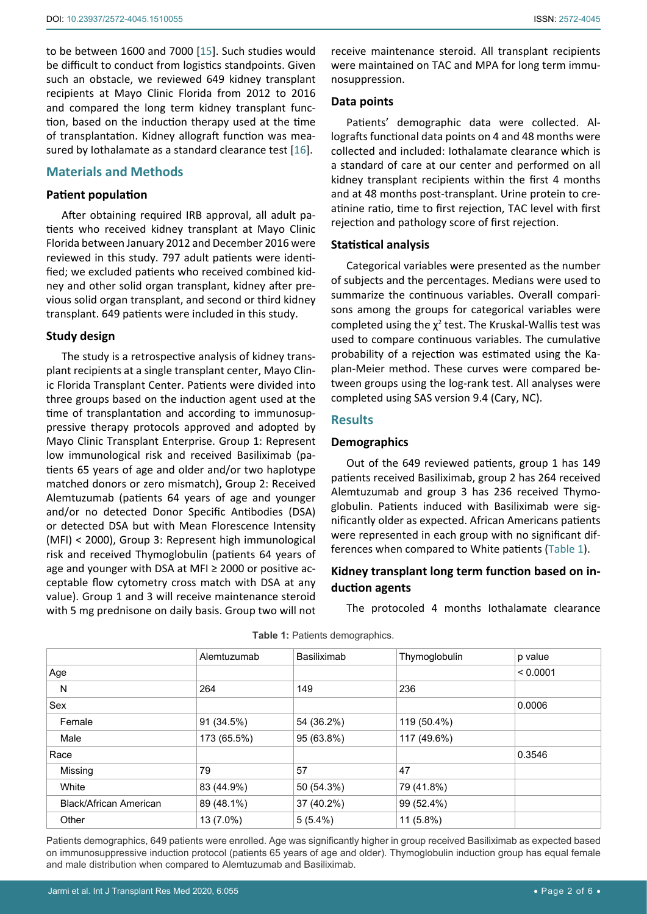to be between 1600 and 7000 [\[15](#page-5-4)]. Such studies would be difficult to conduct from logistics standpoints. Given such an obstacle, we reviewed 649 kidney transplant recipients at Mayo Clinic Florida from 2012 to 2016 and compared the long term kidney transplant function, based on the induction therapy used at the time of transplantation. Kidney allograft function was mea-sured by Iothalamate as a standard clearance test [[16](#page-5-5)].

# **Materials and Methods**

#### **Patient population**

After obtaining required IRB approval, all adult patients who received kidney transplant at Mayo Clinic Florida between January 2012 and December 2016 were reviewed in this study. 797 adult patients were identified; we excluded patients who received combined kidney and other solid organ transplant, kidney after previous solid organ transplant, and second or third kidney transplant. 649 patients were included in this study.

#### **Study design**

The study is a retrospective analysis of kidney transplant recipients at a single transplant center, Mayo Clinic Florida Transplant Center. Patients were divided into three groups based on the induction agent used at the time of transplantation and according to immunosuppressive therapy protocols approved and adopted by Mayo Clinic Transplant Enterprise. Group 1: Represent low immunological risk and received Basiliximab (patients 65 years of age and older and/or two haplotype matched donors or zero mismatch), Group 2: Received Alemtuzumab (patients 64 years of age and younger and/or no detected Donor Specific Antibodies (DSA) or detected DSA but with Mean Florescence Intensity (MFI) < 2000), Group 3: Represent high immunological risk and received Thymoglobulin (patients 64 years of age and younger with DSA at MFI ≥ 2000 or positive acceptable flow cytometry cross match with DSA at any value). Group 1 and 3 will receive maintenance steroid with 5 mg prednisone on daily basis. Group two will not

receive maintenance steroid. All transplant recipients were maintained on TAC and MPA for long term immunosuppression.

#### **Data points**

Patients' demographic data were collected. Allografts functional data points on 4 and 48 months were collected and included: Iothalamate clearance which is a standard of care at our center and performed on all kidney transplant recipients within the first 4 months and at 48 months post-transplant. Urine protein to creatinine ratio, time to first rejection, TAC level with first rejection and pathology score of first rejection.

#### **Statistical analysis**

Categorical variables were presented as the number of subjects and the percentages. Medians were used to summarize the continuous variables. Overall comparisons among the groups for categorical variables were completed using the  $\chi^2$  test. The Kruskal-Wallis test was used to compare continuous variables. The cumulative probability of a rejection was estimated using the Kaplan-Meier method. These curves were compared between groups using the log-rank test. All analyses were completed using SAS version 9.4 (Cary, NC).

#### **Results**

#### **Demographics**

Out of the 649 reviewed patients, group 1 has 149 patients received Basiliximab, group 2 has 264 received Alemtuzumab and group 3 has 236 received Thymoglobulin. Patients induced with Basiliximab were significantly older as expected. African Americans patients were represented in each group with no significant differences when compared to White patients ([Table 1](#page-1-0)).

# **Kidney transplant long term function based on induction agents**

The protocoled 4 months Iothalamate clearance

|                               | Alemtuzumab | Basiliximab | Thymoglobulin | p value  |
|-------------------------------|-------------|-------------|---------------|----------|
| Age                           |             |             |               | < 0.0001 |
| N                             | 264         | 149         | 236           |          |
| Sex                           |             |             |               | 0.0006   |
| Female                        | 91 (34.5%)  | 54 (36.2%)  | 119 (50.4%)   |          |
| Male                          | 173 (65.5%) | 95 (63.8%)  | 117 (49.6%)   |          |
| Race                          |             |             |               | 0.3546   |
| Missing                       | 79          | 57          | 47            |          |
| White                         | 83 (44.9%)  | 50 (54.3%)  | 79 (41.8%)    |          |
| <b>Black/African American</b> | 89 (48.1%)  | 37 (40.2%)  | 99 (52.4%)    |          |
| Other                         | 13 (7.0%)   | $5(5.4\%)$  | 11 (5.8%)     |          |

#### <span id="page-1-0"></span>**Table 1:** Patients demographics.

Patients demographics, 649 patients were enrolled. Age was significantly higher in group received Basiliximab as expected based on immunosuppressive induction protocol (patients 65 years of age and older). Thymoglobulin induction group has equal female and male distribution when compared to Alemtuzumab and Basiliximab.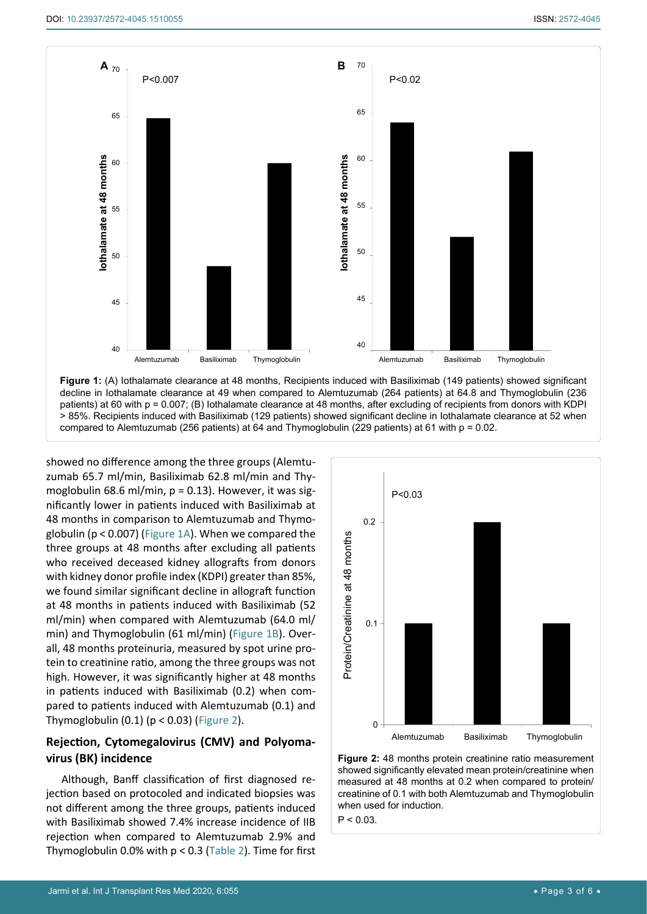<span id="page-2-0"></span>

**Figure 1:** (A) Iothalamate clearance at 48 months, Recipients induced with Basiliximab (149 patients) showed significant decline in Iothalamate clearance at 49 when compared to Alemtuzumab (264 patients) at 64.8 and Thymoglobulin (236 patients) at 60 with p = 0.007; (B) Iothalamate clearance at 48 months, after excluding of recipients from donors with KDPI > 85%. Recipients induced with Basiliximab (129 patients) showed significant decline in Iothalamate clearance at 52 when compared to Alemtuzumab (256 patients) at 64 and Thymoglobulin (229 patients) at 61 with p = 0.02.

showed no difference among the three groups (Alemtuzumab 65.7 ml/min, Basiliximab 62.8 ml/min and Thymoglobulin 68.6 ml/min, p = 0.13). However, it was significantly lower in patients induced with Basiliximab at 48 months in comparison to Alemtuzumab and Thymoglobulin (p < 0.007) [\(Figure 1A](#page-2-0)). When we compared the three groups at 48 months after excluding all patients who received deceased kidney allografts from donors with kidney donor profile index (KDPI) greater than 85%, we found similar significant decline in allograft function at 48 months in patients induced with Basiliximab (52 ml/min) when compared with Alemtuzumab (64.0 ml/ min) and Thymoglobulin (61 ml/min) [\(Figure 1B\)](#page-2-0). Overall, 48 months proteinuria, measured by spot urine protein to creatinine ratio, among the three groups was not high. However, it was significantly higher at 48 months in patients induced with Basiliximab (0.2) when compared to patients induced with Alemtuzumab (0.1) and Thymoglobulin  $(0.1)$   $(p < 0.03)$  ([Figure 2](#page-2-1)).

# **Rejection, Cytomegalovirus (CMV) and Polyomavirus (BK) incidence**

Although, Banff classification of first diagnosed rejection based on protocoled and indicated biopsies was not different among the three groups, patients induced with Basiliximab showed 7.4% increase incidence of IIB rejection when compared to Alemtuzumab 2.9% and Thymoglobulin 0.0% with  $p < 0.3$  ([Table 2](#page-3-0)). Time for first

<span id="page-2-1"></span>

**Figure 2:** 48 months protein creatinine ratio measurement showed significantly elevated mean protein/creatinine when measured at 48 months at 0.2 when compared to protein/ creatinine of 0.1 with both Alemtuzumab and Thymoglobulin when used for induction.

 $P < 0.03$ .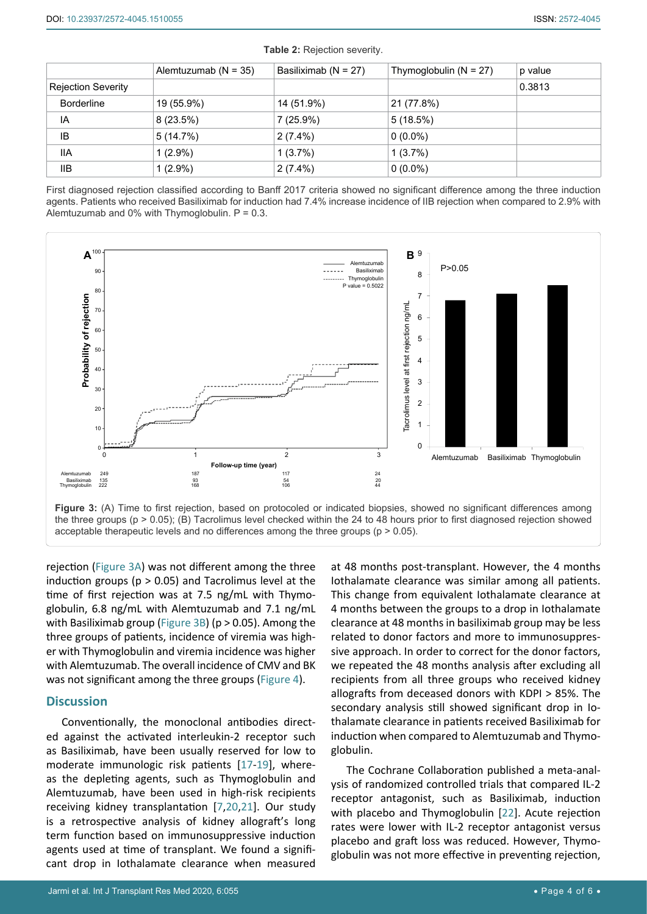|                           | Alemtuzumab ( $N = 35$ ) | Basiliximab (N = 27) | Thymoglobulin $(N = 27)$ | p value |
|---------------------------|--------------------------|----------------------|--------------------------|---------|
| <b>Rejection Severity</b> |                          |                      |                          | 0.3813  |
| <b>Borderline</b>         | 19 (55.9%)               | 14 (51.9%)           | 21 (77.8%)               |         |
| IA                        | 8(23.5%)                 | 7 (25.9%)            | 5(18.5%)                 |         |
| ΙB                        | 5(14.7%)                 | $2(7.4\%)$           | $0(0.0\%)$               |         |
| <b>IIA</b>                | $1(2.9\%)$               | 1(3.7%)              | 1(3.7%)                  |         |
| <b>IIB</b>                | $1(2.9\%)$               | $2(7.4\%)$           | $0(0.0\%)$               |         |

<span id="page-3-0"></span>**Table 2:** Rejection severity.

First diagnosed rejection classified according to Banff 2017 criteria showed no significant difference among the three induction agents. Patients who received Basiliximab for induction had 7.4% increase incidence of IIB rejection when compared to 2.9% with Alemtuzumab and 0% with Thymoglobulin.  $P = 0.3$ .

<span id="page-3-1"></span>

the three groups ( $p > 0.05$ ); (B) Tacrolimus level checked within the 24 to 48 hours prior to first diagnosed rejection showed acceptable therapeutic levels and no differences among the three groups (p > 0.05).

rejection [\(Figure 3A](#page-3-1)) was not different among the three induction groups ( $p > 0.05$ ) and Tacrolimus level at the time of first rejection was at 7.5 ng/mL with Thymoglobulin, 6.8 ng/mL with Alemtuzumab and 7.1 ng/mL with Basiliximab group [\(Figure 3B](#page-3-1)) (p > 0.05). Among the three groups of patients, incidence of viremia was higher with Thymoglobulin and viremia incidence was higher with Alemtuzumab. The overall incidence of CMV and BK was not significant among the three groups ([Figure 4](#page-4-5)).

# **Discussion**

Conventionally, the monoclonal antibodies directed against the activated interleukin-2 receptor such as Basiliximab, have been usually reserved for low to moderate immunologic risk patients [[17](#page-5-6)-[19](#page-5-7)], whereas the depleting agents, such as Thymoglobulin and Alemtuzumab, have been used in high-risk recipients receiving kidney transplantation [[7](#page-4-6),[20](#page-5-8),[21](#page-5-9)]. Our study is a retrospective analysis of kidney allograft's long term function based on immunosuppressive induction agents used at time of transplant. We found a significant drop in Iothalamate clearance when measured

at 48 months post-transplant. However, the 4 months Iothalamate clearance was similar among all patients. This change from equivalent Iothalamate clearance at 4 months between the groups to a drop in Iothalamate clearance at 48 months in basiliximab group may be less related to donor factors and more to immunosuppressive approach. In order to correct for the donor factors, we repeated the 48 months analysis after excluding all recipients from all three groups who received kidney allografts from deceased donors with KDPI > 85%. The secondary analysis still showed significant drop in Iothalamate clearance in patients received Basiliximab for induction when compared to Alemtuzumab and Thymoglobulin.

The Cochrane Collaboration published a meta-analysis of randomized controlled trials that compared IL-2 receptor antagonist, such as Basiliximab, induction with placebo and Thymoglobulin [[22](#page-5-10)]. Acute rejection rates were lower with IL-2 receptor antagonist versus placebo and graft loss was reduced. However, Thymoglobulin was not more effective in preventing rejection,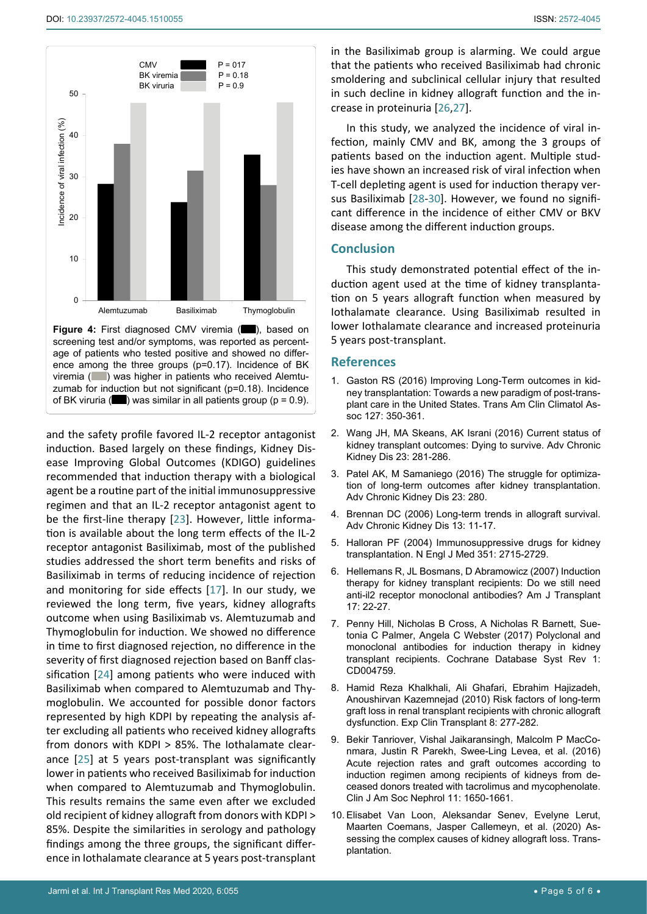<span id="page-4-5"></span>

**Figure 4:** First diagnosed CMV viremia ( $\Box$ ), based on screening test and/or symptoms, was reported as percentage of patients who tested positive and showed no difference among the three groups (p=0.17). Incidence of BK viremia ( ) was higher in patients who received Alemtuzumab for induction but not significant (p=0.18). Incidence of BK viruria ( $\Box$ ) was similar in all patients group ( $p = 0.9$ ).

and the safety profile favored IL-2 receptor antagonist induction. Based largely on these findings, Kidney Disease Improving Global Outcomes (KDIGO) guidelines recommended that induction therapy with a biological agent be a routine part of the initial immunosuppressive regimen and that an IL-2 receptor antagonist agent to be the first-line therapy [[23](#page-5-15)]. However, little information is available about the long term effects of the IL-2 receptor antagonist Basiliximab, most of the published studies addressed the short term benefits and risks of Basiliximab in terms of reducing incidence of rejection and monitoring for side effects [[17](#page-5-6)]. In our study, we reviewed the long term, five years, kidney allografts outcome when using Basiliximab vs. Alemtuzumab and Thymoglobulin for induction. We showed no difference in time to first diagnosed rejection, no difference in the severity of first diagnosed rejection based on Banff classification [[24\]](#page-5-16) among patients who were induced with Basiliximab when compared to Alemtuzumab and Thymoglobulin. We accounted for possible donor factors represented by high KDPI by repeating the analysis after excluding all patients who received kidney allografts from donors with KDPI > 85%. The Iothalamate clearance [[25\]](#page-5-17) at 5 years post-transplant was significantly lower in patients who received Basiliximab for induction when compared to Alemtuzumab and Thymoglobulin. This results remains the same even after we excluded old recipient of kidney allograft from donors with KDPI > 85%. Despite the similarities in serology and pathology findings among the three groups, the significant difference in Iothalamate clearance at 5 years post-transplant

in the Basiliximab group is alarming. We could argue that the patients who received Basiliximab had chronic smoldering and subclinical cellular injury that resulted in such decline in kidney allograft function and the increase in proteinuria [\[26](#page-5-11)[,27](#page-5-12)].

In this study, we analyzed the incidence of viral infection, mainly CMV and BK, among the 3 groups of patients based on the induction agent. Multiple studies have shown an increased risk of viral infection when T-cell depleting agent is used for induction therapy versus Basiliximab [[28-](#page-5-13)[30](#page-5-14)]. However, we found no significant difference in the incidence of either CMV or BKV disease among the different induction groups.

# **Conclusion**

This study demonstrated potential effect of the induction agent used at the time of kidney transplantation on 5 years allograft function when measured by Iothalamate clearance. Using Basiliximab resulted in lower Iothalamate clearance and increased proteinuria 5 years post-transplant.

### **References**

- <span id="page-4-0"></span>1. [Gaston RS \(2016\) Improving Long-Term outcomes in kid](https://pubmed.ncbi.nlm.nih.gov/28066070)[ney transplantation: Towards a new paradigm of post-trans](https://pubmed.ncbi.nlm.nih.gov/28066070)[plant care in the United States. Trans Am Clin Climatol As](https://pubmed.ncbi.nlm.nih.gov/28066070)[soc 127: 350-361.](https://pubmed.ncbi.nlm.nih.gov/28066070)
- <span id="page-4-1"></span>2. [Wang JH, MA Skeans, AK Israni \(2016\) Current status of](https://pubmed.ncbi.nlm.nih.gov/27742381)  [kidney transplant outcomes: Dying to survive. Adv Chronic](https://pubmed.ncbi.nlm.nih.gov/27742381)  [Kidney Dis 23: 281-286.](https://pubmed.ncbi.nlm.nih.gov/27742381)
- <span id="page-4-2"></span>3. [Patel AK, M Samaniego \(2016\) The struggle for optimiza](https://pubmed.ncbi.nlm.nih.gov/27742380)[tion of long-term outcomes after kidney transplantation.](https://pubmed.ncbi.nlm.nih.gov/27742380)  [Adv Chronic Kidney Dis 23: 280.](https://pubmed.ncbi.nlm.nih.gov/27742380)
- <span id="page-4-3"></span>4. [Brennan DC \(2006\) Long-term trends in allograft survival.](https://pubmed.ncbi.nlm.nih.gov/16412966)  [Adv Chronic Kidney Dis 13: 11-17.](https://pubmed.ncbi.nlm.nih.gov/16412966)
- <span id="page-4-4"></span>5. [Halloran PF \(2004\) Immunosuppressive drugs for kidney](https://pubmed.ncbi.nlm.nih.gov/15616206)  [transplantation. N Engl J Med 351: 2715-2729.](https://pubmed.ncbi.nlm.nih.gov/15616206)
- 6. [Hellemans R, JL Bosmans, D Abramowicz \(2007\) Induction](https://pubmed.ncbi.nlm.nih.gov/27223882)  [therapy for kidney transplant recipients: Do we still need](https://pubmed.ncbi.nlm.nih.gov/27223882)  [anti-il2 receptor monoclonal antibodies? Am J Transplant](https://pubmed.ncbi.nlm.nih.gov/27223882)  [17: 22-27.](https://pubmed.ncbi.nlm.nih.gov/27223882)
- <span id="page-4-6"></span>7. [Penny Hill, Nicholas B Cross, A Nicholas R Barnett, Sue](https://pubmed.ncbi.nlm.nih.gov/28073178)[tonia C Palmer, Angela C Webster \(2017\) Polyclonal and](https://pubmed.ncbi.nlm.nih.gov/28073178)  [monoclonal antibodies for induction therapy in kidney](https://pubmed.ncbi.nlm.nih.gov/28073178)  [transplant recipients. Cochrane Database Syst Rev 1:](https://pubmed.ncbi.nlm.nih.gov/28073178)  [CD004759.](https://pubmed.ncbi.nlm.nih.gov/28073178)
- 8. [Hamid Reza Khalkhali, Ali Ghafari, Ebrahim Hajizadeh,](https://pubmed.ncbi.nlm.nih.gov/21143092)  [Anoushirvan Kazemnejad \(2010\) Risk factors of long-term](https://pubmed.ncbi.nlm.nih.gov/21143092)  [graft loss in renal transplant recipients with chronic allograft](https://pubmed.ncbi.nlm.nih.gov/21143092)  [dysfunction. Exp Clin Transplant 8: 277-282.](https://pubmed.ncbi.nlm.nih.gov/21143092)
- 9. [Bekir Tanriover, Vishal Jaikaransingh, Malcolm P MacCo](https://pubmed.ncbi.nlm.nih.gov/27364616)[nmara, Justin R Parekh, Swee-Ling Levea, et al. \(2016\)](https://pubmed.ncbi.nlm.nih.gov/27364616)  [Acute rejection rates and graft outcomes according to](https://pubmed.ncbi.nlm.nih.gov/27364616)  [induction regimen among recipients of kidneys from de](https://pubmed.ncbi.nlm.nih.gov/27364616)[ceased donors treated with tacrolimus and mycophenolate.](https://pubmed.ncbi.nlm.nih.gov/27364616)  [Clin J Am Soc Nephrol 11: 1650-1661.](https://pubmed.ncbi.nlm.nih.gov/27364616)
- 10. [Elisabet Van Loon, Aleksandar Senev, Evelyne Lerut,](https://pubmed.ncbi.nlm.nih.gov/32091487)  [Maarten Coemans, Jasper Callemeyn, et al. \(2020\) As](https://pubmed.ncbi.nlm.nih.gov/32091487)[sessing the complex causes of kidney allograft loss. Trans](https://pubmed.ncbi.nlm.nih.gov/32091487)[plantation.](https://pubmed.ncbi.nlm.nih.gov/32091487)